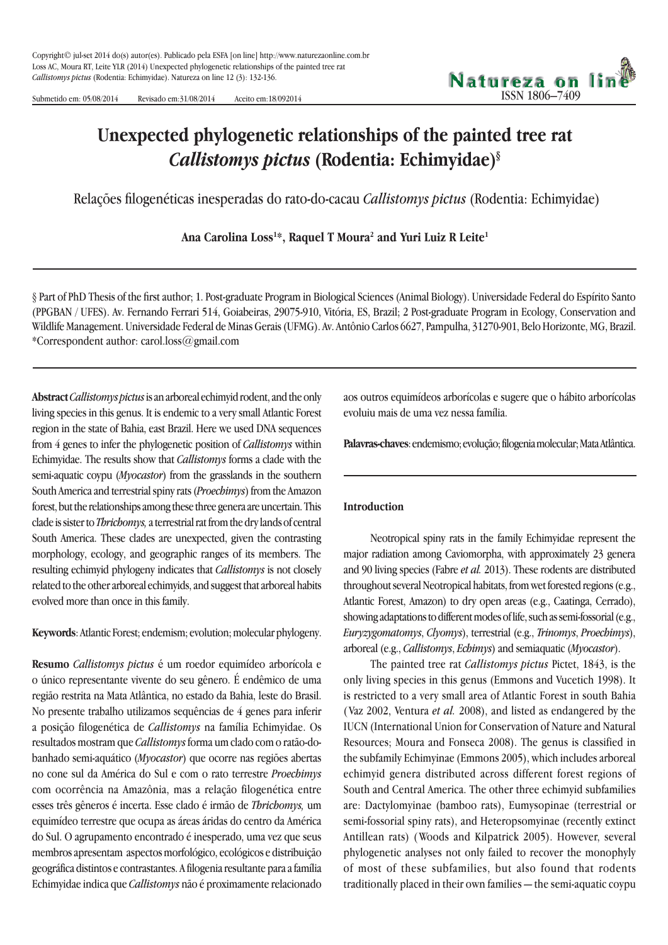Submetido em: 05/08/2014 Revisado em:31/08/2014 Aceito em:18/092014



# **Unexpected phylogenetic relationships of the painted tree rat** *Callistomys pictus* **(Rodentia: Echimyidae)§**

Relações filogenéticas inesperadas do rato-do-cacau *Callistomys pictus* (Rodentia: Echimyidae)

**Ana Carolina Loss1 \*, Raquel T Moura2 and Yuri Luiz R Leite1**

§ Part of PhD Thesis of the first author; 1. Post-graduate Program in Biological Sciences (Animal Biology). Universidade Federal do Espírito Santo (PPGBAN / UFES). Av. Fernando Ferrari 514, Goiabeiras, 29075-910, Vitória, ES, Brazil; 2 Post-graduate Program in Ecology, Conservation and Wildlife Management. Universidade Federal de Minas Gerais (UFMG). Av. Antônio Carlos 6627, Pampulha, 31270-901, Belo Horizonte, MG, Brazil. \*Correspondent author: carol.loss@gmail.com

**Abstract***Callistomys pictus* is an arboreal echimyid rodent, and the only living species in this genus. It is endemic to a very small Atlantic Forest region in the state of Bahia, east Brazil. Here we used DNA sequences from 4 genes to infer the phylogenetic position of *Callistomys* within Echimyidae. The results show that *Callistomys* forms a clade with the semi-aquatic coypu (*Myocastor*) from the grasslands in the southern South America and terrestrial spiny rats (*Proechimys*) from the Amazon forest, but the relationships among these three genera are uncertain. This clade is sister to *Thrichomys,* a terrestrial rat from the dry lands of central South America. These clades are unexpected, given the contrasting morphology, ecology, and geographic ranges of its members. The resulting echimyid phylogeny indicates that *Callistomys* is not closely related to the other arboreal echimyids, and suggest that arboreal habits evolved more than once in this family.

**Keywords**: Atlantic Forest; endemism; evolution; molecular phylogeny.

**Resumo** *Callistomys pictus* é um roedor equimídeo arborícola e o único representante vivente do seu gênero. É endêmico de uma região restrita na Mata Atlântica, no estado da Bahia, leste do Brasil. No presente trabalho utilizamos sequências de 4 genes para inferir a posição filogenética de *Callistomys* na família Echimyidae. Os resultados mostram que *Callistomys* forma um clado com o ratão-dobanhado semi-aquático (*Myocastor*) que ocorre nas regiões abertas no cone sul da América do Sul e com o rato terrestre *Proechimys* com ocorrência na Amazônia, mas a relação filogenética entre esses três gêneros é incerta. Esse clado é irmão de *Thrichomys,* um equimídeo terrestre que ocupa as áreas áridas do centro da América do Sul. O agrupamento encontrado é inesperado, uma vez que seus membros apresentam aspectos morfológico, ecológicos e distribuição geográfica distintos e contrastantes. A filogenia resultante para a família Echimyidae indica que *Callistomys* não é proximamente relacionado aos outros equimídeos arborícolas e sugere que o hábito arborícolas evoluiu mais de uma vez nessa família.

**Palavras-chaves**: endemismo; evolução; filogenia molecular; Mata Atlântica.

#### **Introduction**

Neotropical spiny rats in the family Echimyidae represent the major radiation among Caviomorpha, with approximately 23 genera and 90 living species (Fabre *et al.* 2013). These rodents are distributed throughout several Neotropical habitats, from wet forested regions (e.g., Atlantic Forest, Amazon) to dry open areas (e.g., Caatinga, Cerrado), showing adaptations to different modes of life, such as semi-fossorial (e.g., *Euryzygomatomys*, *Clyomys*), terrestrial (e.g., *Trinomys*, *Proechimys*), arboreal (e.g., *Callistomys*, *Echimys*) and semiaquatic (*Myocastor*).

The painted tree rat *Callistomys pictus* Pictet, 1843, is the only living species in this genus (Emmons and Vucetich 1998). It is restricted to a very small area of Atlantic Forest in south Bahia ( Vaz 2002, Ventura *et al.* 2008), and listed as endangered by the IUCN (International Union for Conservation of Nature and Natural Resources; Moura and Fonseca 2008). The genus is classified in the subfamily Echimyinae (Emmons 2005), which includes arboreal echimyid genera distributed across different forest regions of South and Central America. The other three echimyid subfamilies are: Dactylomyinae (bamboo rats), Eumysopinae (terrestrial or semi-fossorial spiny rats), and Heteropsomyinae (recently extinct Antillean rats) ( Woods and Kilpatrick 2005). However, several phylogenetic analyses not only failed to recover the monophyly of most of these subfamilies, but also found that rodents traditionally placed in their own families — the semi-aquatic coypu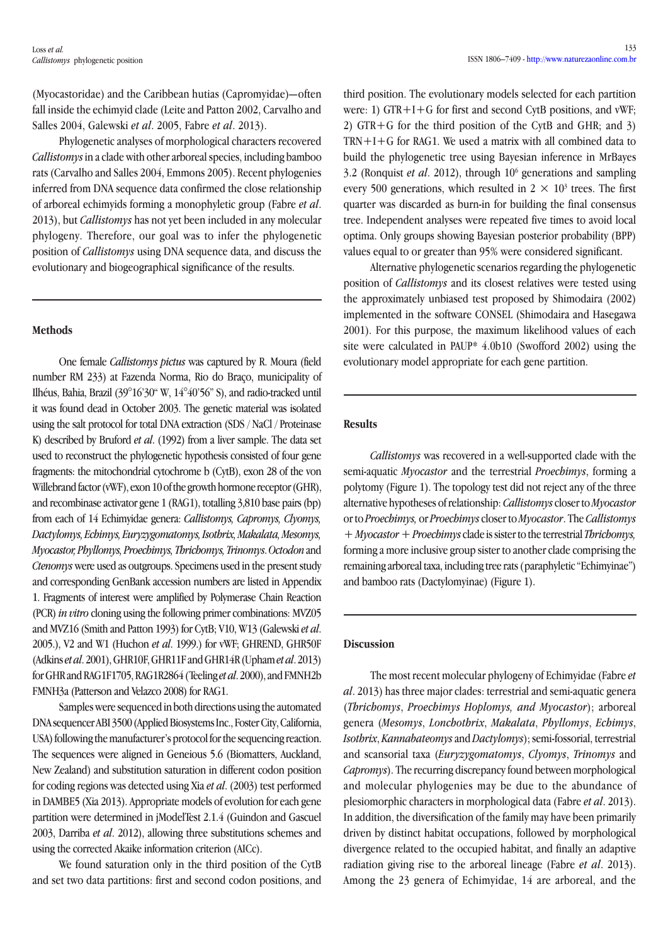(Myocastoridae) and the Caribbean hutias (Capromyidae)—often fall inside the echimyid clade (Leite and Patton 2002, Carvalho and Salles 2004, Galewski *et al*. 2005, Fabre *et al*. 2013).

Phylogenetic analyses of morphological characters recovered *Callistomys* in a clade with other arboreal species, including bamboo rats (Carvalho and Salles 2004, Emmons 2005). Recent phylogenies inferred from DNA sequence data confirmed the close relationship of arboreal echimyids forming a monophyletic group (Fabre *et al*. 2013), but *Callistomys* has not yet been included in any molecular phylogeny. Therefore, our goal was to infer the phylogenetic position of *Callistomys* using DNA sequence data, and discuss the evolutionary and biogeographical significance of the results.

## **Methods**

One female *Callistomys pictus* was captured by R. Moura (field number RM 233) at Fazenda Norma, Rio do Braço, municipality of Ilhéus, Bahia, Brazil (39°16'30" W, 14°40'56" S), and radio-tracked until it was found dead in October 2003. The genetic material was isolated using the salt protocol for total DNA extraction (SDS / NaCl / Proteinase K) described by Bruford *et al*. (1992) from a liver sample. The data set used to reconstruct the phylogenetic hypothesis consisted of four gene fragments: the mitochondrial cytochrome b (CytB), exon 28 of the von Willebrand factor (vWF), exon 10 of the growth hormone receptor (GHR), and recombinase activator gene 1 (RAG1), totalling 3,810 base pairs (bp) from each of 14 Echimyidae genera: *Callistomys, Capromys, Clyomys, Dactylomys, Echimys, Euryzygomatomys, Isothrix, Makalata, Mesomys, Myocastor, Phyllomys, Proechimys, Thrichomys, Trinomys*. *Octodon* and *Ctenomys* were used as outgroups. Specimens used in the present study and corresponding GenBank accession numbers are listed in Appendix 1. Fragments of interest were amplified by Polymerase Chain Reaction (PCR) *in vitro* cloning using the following primer combinations: MVZ05 and MVZ16 (Smith and Patton 1993) for CytB; V10, W13 (Galewski *et al*. 2005.), V2 and W1 (Huchon *et al*. 1999.) for vWF; GHREND, GHR50F (Adkins *et al*. 2001), GHR10F, GHR11F and GHR14R (Upham *et al*. 2013) for GHR and RAG1F1705, RAG1R2864 (Teeling *et al*. 2000), and FMNH2b FMNH3a (Patterson and Velazco 2008) for RAG1.

Samples were sequenced in both directions using the automated DNA sequencer ABI 3500 (Applied Biosystems Inc., Foster City, California, USA) following the manufacturer's protocol for the sequencing reaction. The sequences were aligned in Geneious 5.6 (Biomatters, Auckland, New Zealand) and substitution saturation in different codon position for coding regions was detected using Xia *et al*. (2003) test performed in DAMBE5 (Xia 2013). Appropriate models of evolution for each gene partition were determined in jModelTest 2.1.4 (Guindon and Gascuel 2003, Darriba *et al*. 2012), allowing three substitutions schemes and using the corrected Akaike information criterion (AICc).

We found saturation only in the third position of the CytB and set two data partitions: first and second codon positions, and third position. The evolutionary models selected for each partition were: 1) GTR+I+G for first and second CytB positions, and vWF; 2) GTR+G for the third position of the CytB and GHR; and 3) TRN+I+G for RAG1. We used a matrix with all combined data to build the phylogenetic tree using Bayesian inference in MrBayes 3.2 (Ronquist *et al*. 2012), through 106 generations and sampling every 500 generations, which resulted in  $2 \times 10^3$  trees. The first quarter was discarded as burn-in for building the final consensus tree. Independent analyses were repeated five times to avoid local optima. Only groups showing Bayesian posterior probability (BPP) values equal to or greater than 95% were considered significant.

Alternative phylogenetic scenarios regarding the phylogenetic position of *Callistomys* and its closest relatives were tested using the approximately unbiased test proposed by Shimodaira (2002) implemented in the software CONSEL (Shimodaira and Hasegawa 2001). For this purpose, the maximum likelihood values of each site were calculated in PAUP\* 4.0b10 (Swofford 2002) using the evolutionary model appropriate for each gene partition.

#### **Results**

*Callistomys* was recovered in a well-supported clade with the semi-aquatic *Myocastor* and the terrestrial *Proechimys*, forming a polytomy (Figure 1). The topology test did not reject any of the three alternative hypotheses of relationship: *Callistomys* closer to *Myocastor* or to *Proechimys,* or *Proechimys* closer to *Myocastor*. The *Callistomys + Myocastor + Proechimys* clade is sister to the terrestrial *Thrichomys,*  forming a more inclusive group sister to another clade comprising the remaining arboreal taxa, including tree rats (paraphyletic "Echimyinae") and bamboo rats (Dactylomyinae) (Figure 1).

## **Discussion**

The most recent molecular phylogeny of Echimyidae (Fabre *et al*. 2013) has three major clades: terrestrial and semi-aquatic genera (*Thrichomys*, *Proechimys Hoplomys, and Myocastor*); arboreal genera (*Mesomys*, *Lonchothrix*, *Makalata*, *Phyllomys*, *Echimys*, *Isothrix*, *Kannabateomys* and *Dactylomys*); semi-fossorial, terrestrial and scansorial taxa (*Euryzygomatomys*, *Clyomys*, *Trinomys* and *Capromys*). The recurring discrepancy found between morphological and molecular phylogenies may be due to the abundance of plesiomorphic characters in morphological data (Fabre *et al*. 2013). In addition, the diversification of the family may have been primarily driven by distinct habitat occupations, followed by morphological divergence related to the occupied habitat, and finally an adaptive radiation giving rise to the arboreal lineage (Fabre *et al*. 2013). Among the 23 genera of Echimyidae, 14 are arboreal, and the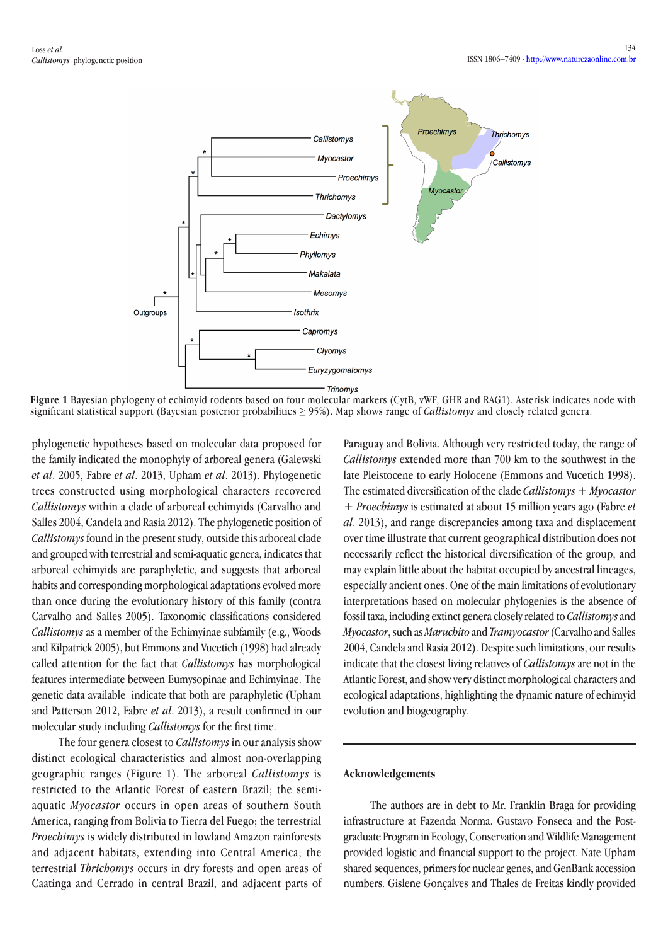

**Figure 1** Bayesian phylogeny of echimyid rodents based on four molecular markers (CytB, vWF, GHR and RAG1). Asterisk indicates node with significant statistical support (Bayesian posterior probabilities ≥ 95%). Map shows range of *Callistomys* and closely related genera.

phylogenetic hypotheses based on molecular data proposed for the family indicated the monophyly of arboreal genera (Galewski *et al*. 2005, Fabre *et al*. 2013, Upham *et al*. 2013). Phylogenetic trees constructed using morphological characters recovered *Callistomys* within a clade of arboreal echimyids (Carvalho and Salles 2004, Candela and Rasia 2012). The phylogenetic position of *Callistomys* found in the present study, outside this arboreal clade and grouped with terrestrial and semi-aquatic genera, indicates that arboreal echimyids are paraphyletic, and suggests that arboreal habits and corresponding morphological adaptations evolved more than once during the evolutionary history of this family (contra Carvalho and Salles 2005). Taxonomic classifications considered *Callistomys* as a member of the Echimyinae subfamily (e.g., Woods and Kilpatrick 2005), but Emmons and Vucetich (1998) had already called attention for the fact that *Callistomys* has morphological features intermediate between Eumysopinae and Echimyinae. The genetic data available indicate that both are paraphyletic (Upham and Patterson 2012, Fabre *et al*. 2013), a result confirmed in our molecular study including *Callistomys* for the first time.

The four genera closest to *Callistomys* in our analysis show distinct ecological characteristics and almost non-overlapping geographic ranges (Figure 1). The arboreal *Callistomys* is restricted to the Atlantic Forest of eastern Brazil; the semiaquatic *Myocastor* occurs in open areas of southern South America, ranging from Bolivia to Tierra del Fuego; the terrestrial *Proechimys* is widely distributed in lowland Amazon rainforests and adjacent habitats, extending into Central America; the terrestrial *Thrichomys* occurs in dry forests and open areas of Caatinga and Cerrado in central Brazil, and adjacent parts of Paraguay and Bolivia. Although very restricted today, the range of *Callistomys* extended more than 700 km to the southwest in the late Pleistocene to early Holocene (Emmons and Vucetich 1998). The estimated diversification of the clade *Callistomys* + *Myocastor*  + *Proechimys* is estimated at about 15 million years ago (Fabre *et al*. 2013), and range discrepancies among taxa and displacement over time illustrate that current geographical distribution does not necessarily reflect the historical diversification of the group, and may explain little about the habitat occupied by ancestral lineages, especially ancient ones. One of the main limitations of evolutionary interpretations based on molecular phylogenies is the absence of fossil taxa, including extinct genera closely related to *Callistomys* and *Myocastor*, such as *Maruchito* and *Tramyocastor* (Carvalho and Salles 2004, Candela and Rasia 2012). Despite such limitations, our results indicate that the closest living relatives of *Callistomys* are not in the Atlantic Forest, and show very distinct morphological characters and ecological adaptations, highlighting the dynamic nature of echimyid evolution and biogeography.

#### **Acknowledgements**

The authors are in debt to Mr. Franklin Braga for providing infrastructure at Fazenda Norma. Gustavo Fonseca and the Postgraduate Program in Ecology, Conservation and Wildlife Management provided logistic and financial support to the project. Nate Upham shared sequences, primers for nuclear genes, and GenBank accession numbers. Gislene Gonçalves and Thales de Freitas kindly provided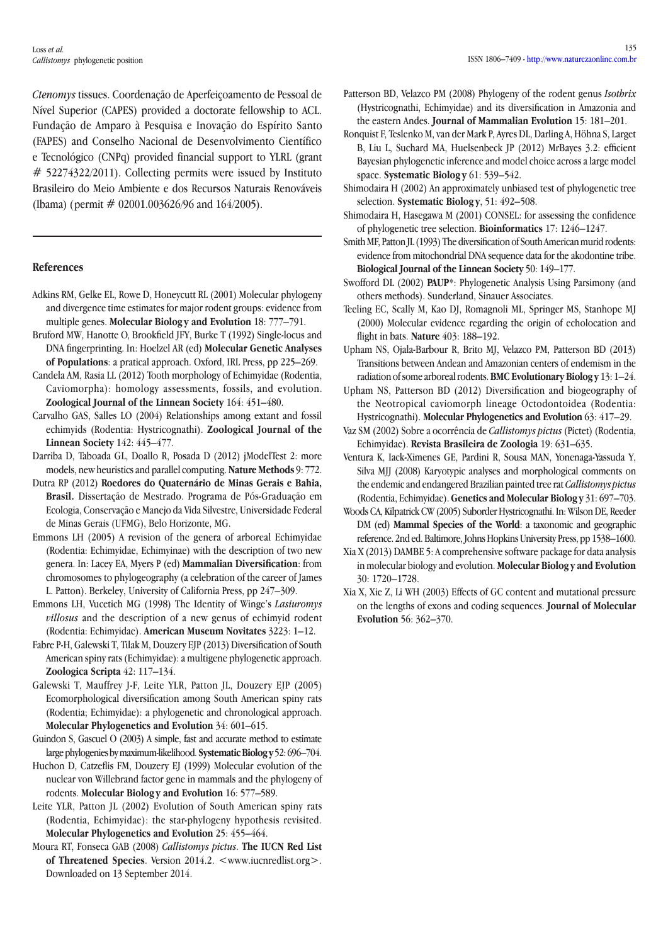Loss *et al. Callistomys* phylogenetic position

*Ctenomys* tissues. Coordenação de Aperfeiçoamento de Pessoal de Nível Superior (CAPES) provided a doctorate fellowship to ACL. Fundação de Amparo à Pesquisa e Inovação do Espírito Santo (FAPES) and Conselho Nacional de Desenvolvimento Científico e Tecnológico (CNPq) provided financial support to YLRL (grant # 52274322/2011). Collecting permits were issued by Instituto Brasileiro do Meio Ambiente e dos Recursos Naturais Renováveis (Ibama) (permit  $# 02001.003626/96$  and  $164/2005$ ).

## **References**

- Adkins RM, Gelke EL, Rowe D, Honeycutt RL (2001) Molecular phylogeny and divergence time estimates for major rodent groups: evidence from multiple genes. **Molecular Biolog y and Evolution** 18: 777–791.
- Bruford MW, Hanotte O, Brookfield JFY, Burke T (1992) Single-locus and DNA fingerprinting. In: Hoelzel AR (ed) **Molecular Genetic Analyses of Populations**: a pratical approach. Oxford, IRL Press, pp 225–269.
- Candela AM, Rasia LL (2012) Tooth morphology of Echimyidae (Rodentia, Caviomorpha): homology assessments, fossils, and evolution. **Zoological Journal of the Linnean Society** 164: 451–480.
- Carvalho GAS, Salles LO (2004) Relationships among extant and fossil echimyids (Rodentia: Hystricognathi). **Zoological Journal of the Linnean Society** 142: 445–477.
- Darriba D, Taboada GL, Doallo R, Posada D (2012) jModelTest 2: more models, new heuristics and parallel computing. **Nature Methods** 9: 772.
- Dutra RP (2012) **Roedores do Quaternário de Minas Gerais e Bahia, Brasil.** Dissertação de Mestrado. Programa de Pós-Graduação em Ecologia, Conservação e Manejo da Vida Silvestre, Universidade Federal de Minas Gerais (UFMG), Belo Horizonte, MG.
- Emmons LH (2005) A revision of the genera of arboreal Echimyidae (Rodentia: Echimyidae, Echimyinae) with the description of two new genera. In: Lacey EA, Myers P (ed) **Mammalian Diversification**: from chromosomes to phylogeography (a celebration of the career of James L. Patton). Berkeley, University of California Press, pp 247–309.
- Emmons LH, Vucetich MG (1998) The Identity of Winge's *Lasiuromys villosus* and the description of a new genus of echimyid rodent (Rodentia: Echimyidae). **American Museum Novitates** 3223: 1–12.
- Fabre P-H, Galewski T, Tilak M, Douzery EJP (2013) Diversification of South American spiny rats (Echimyidae): a multigene phylogenetic approach. **Zoologica Scripta** 42: 117–134.
- Galewski T, Mauffrey J-F, Leite YLR, Patton JL, Douzery EJP (2005) Ecomorphological diversification among South American spiny rats (Rodentia; Echimyidae): a phylogenetic and chronological approach. **Molecular Phylogenetics and Evolution** 34: 601–615.
- Guindon S, Gascuel O (2003) A simple, fast and accurate method to estimate large phylogenies by maximum-likelihood. **Systematic Biology** 52: 696–704.
- Huchon D, Catzeflis FM, Douzery EJ (1999) Molecular evolution of the nuclear von Willebrand factor gene in mammals and the phylogeny of rodents. **Molecular Biolog y and Evolution** 16: 577–589.
- Leite YLR, Patton JL (2002) Evolution of South American spiny rats (Rodentia, Echimyidae): the star-phylogeny hypothesis revisited. **Molecular Phylogenetics and Evolution** 25: 455–464.
- Moura RT, Fonseca GAB (2008) *Callistomys pictus*. **The IUCN Red List**  of Threatened Species. Version 2014.2. <www.iucnredlist.org>. Downloaded on 13 September 2014.
- Patterson BD, Velazco PM (2008) Phylogeny of the rodent genus *Isothrix* (Hystricognathi, Echimyidae) and its diversification in Amazonia and the eastern Andes. **Journal of Mammalian Evolution** 15: 181–201.
- Ronquist F, Teslenko M, van der Mark P, Ayres DL, Darling A, Höhna S, Larget B, Liu L, Suchard MA, Huelsenbeck JP (2012) MrBayes 3.2: efficient Bayesian phylogenetic inference and model choice across a large model space. **Systematic Biolog y** 61: 539–542.
- Shimodaira H (2002) An approximately unbiased test of phylogenetic tree selection. **Systematic Biology**, 51: 492-508.
- Shimodaira H, Hasegawa M (2001) CONSEL: for assessing the confidence of phylogenetic tree selection. **Bioinformatics** 17: 1246–1247.
- Smith MF, Patton JL (1993) The diversification of South American murid rodents: evidence from mitochondrial DNA sequence data for the akodontine tribe. **Biological Journal of the Linnean Society** 50: 149–177.
- Swofford DL (2002) **PAUP\***: Phylogenetic Analysis Using Parsimony (and others methods). Sunderland, Sinauer Associates.
- Teeling EC, Scally M, Kao DJ, Romagnoli ML, Springer MS, Stanhope MJ (2000) Molecular evidence regarding the origin of echolocation and flight in bats. **Nature** 403: 188–192.
- Upham NS, Ojala-Barbour R, Brito MJ, Velazco PM, Patterson BD (2013) Transitions between Andean and Amazonian centers of endemism in the radiation of some arboreal rodents. **BMC Evolutionary Biolog y** 13: 1–24.
- Upham NS, Patterson BD (2012) Diversification and biogeography of the Neotropical caviomorph lineage Octodontoidea (Rodentia: Hystricognathi). **Molecular Phylogenetics and Evolution** 63: 417–29.
- Vaz SM (2002) Sobre a ocorrência de *Callistomys pictus* (Pictet) (Rodentia, Echimyidae). **Revista Brasileira de Zoologia** 19: 631–635.
- Ventura K, Iack-Ximenes GE, Pardini R, Sousa MAN, Yonenaga-Yassuda Y, Silva MJJ (2008) Karyotypic analyses and morphological comments on the endemic and endangered Brazilian painted tree rat *Callistomys pictus* (Rodentia, Echimyidae). **Genetics and Molecular Biolog y** 31: 697–703.
- Woods CA, Kilpatrick CW (2005) Suborder Hystricognathi. In: Wilson DE, Reeder DM (ed) **Mammal Species of the World**: a taxonomic and geographic reference. 2nd ed. Baltimore, Johns Hopkins University Press, pp 1538–1600.
- Xia X (2013) DAMBE 5: A comprehensive software package for data analysis in molecular biology and evolution. **Molecular Biolog y and Evolution**  30: 1720–1728.
- Xia X, Xie Z, Li WH (2003) Effects of GC content and mutational pressure on the lengths of exons and coding sequences. **Journal of Molecular Evolution** 56: 362–370.